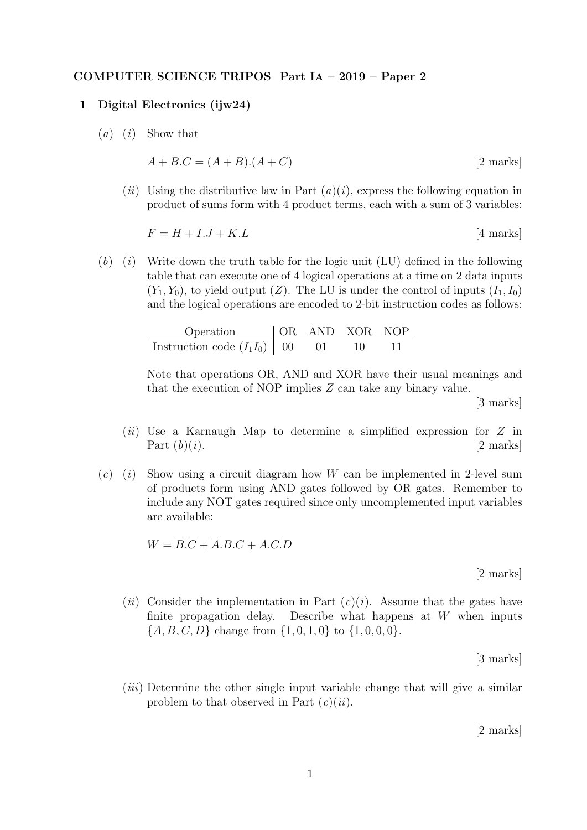## COMPUTER SCIENCE TRIPOS Part IA – 2019 – Paper 2

## 1 Digital Electronics (ijw24)

 $(a)$   $(i)$  Show that

$$
A + B.C = (A + B).(A + C)
$$
 [2 marks]

(*ii*) Using the distributive law in Part  $(a)(i)$ , express the following equation in product of sums form with 4 product terms, each with a sum of 3 variables:

$$
F = H + I.\overline{J} + \overline{K}.\overline{L}
$$
 [4 marks]

 $(b)$  (i) Write down the truth table for the logic unit (LU) defined in the following table that can execute one of 4 logical operations at a time on 2 data inputs  $(Y_1, Y_0)$ , to yield output  $(Z)$ . The LU is under the control of inputs  $(I_1, I_0)$ and the logical operations are encoded to 2-bit instruction codes as follows:

| Operation                   | OR | AND | XOR | NOP |
|-----------------------------|----|-----|-----|-----|
| Instruction code $(I_1I_0)$ | 00 | 01  | 10  | 11  |

Note that operations OR, AND and XOR have their usual meanings and that the execution of NOP implies Z can take any binary value.

[3 marks]

- $(ii)$  Use a Karnaugh Map to determine a simplified expression for Z in Part  $(b)(i)$ . [2 marks]
- $(c)$  (i) Show using a circuit diagram how W can be implemented in 2-level sum of products form using AND gates followed by OR gates. Remember to include any NOT gates required since only uncomplemented input variables are available:

 $W = \overline{B} \cdot \overline{C} + \overline{A} \cdot B \cdot C + A \cdot C \cdot \overline{D}$ 

[2 marks]

(ii) Consider the implementation in Part  $(c)(i)$ . Assume that the gates have finite propagation delay. Describe what happens at  $W$  when inputs  $\{A, B, C, D\}$  change from  $\{1, 0, 1, 0\}$  to  $\{1, 0, 0, 0\}$ .

[3 marks]

(iii) Determine the other single input variable change that will give a similar problem to that observed in Part  $(c)(ii)$ .

[2 marks]